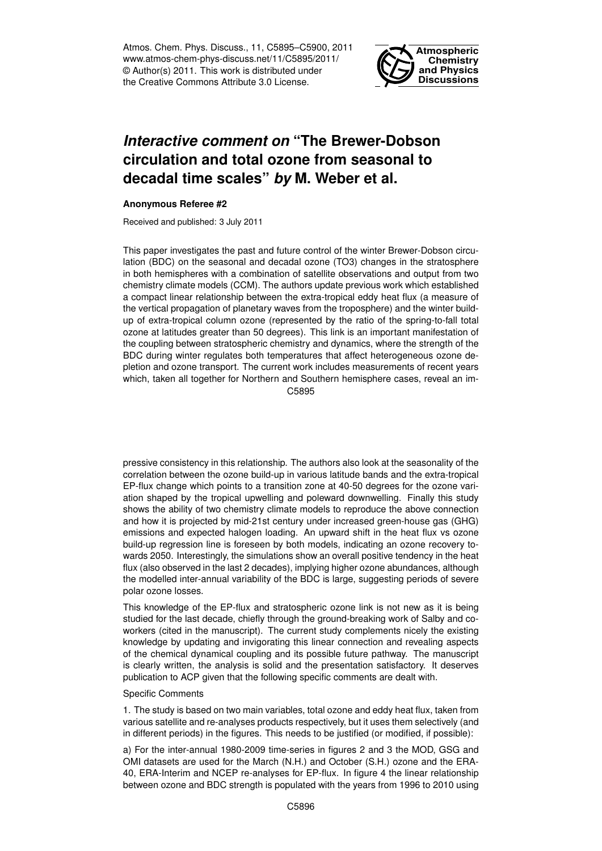Atmos. Chem. Phys. Discuss., 11, C5895–C5900, 2011 www.atmos-chem-phys-discuss.net/11/C5895/2011/ © Author(s) 2011. This work is distributed under the Creative Commons Attribute 3.0 License.



## *Interactive comment on* **"The Brewer-Dobson circulation and total ozone from seasonal to decadal time scales"** *by* **M. Weber et al.**

## **Anonymous Referee #2**

Received and published: 3 July 2011

This paper investigates the past and future control of the winter Brewer-Dobson circulation (BDC) on the seasonal and decadal ozone (TO3) changes in the stratosphere in both hemispheres with a combination of satellite observations and output from two chemistry climate models (CCM). The authors update previous work which established a compact linear relationship between the extra-tropical eddy heat flux (a measure of the vertical propagation of planetary waves from the troposphere) and the winter buildup of extra-tropical column ozone (represented by the ratio of the spring-to-fall total ozone at latitudes greater than 50 degrees). This link is an important manifestation of the coupling between stratospheric chemistry and dynamics, where the strength of the BDC during winter regulates both temperatures that affect heterogeneous ozone depletion and ozone transport. The current work includes measurements of recent years which, taken all together for Northern and Southern hemisphere cases, reveal an im-C5895

pressive consistency in this relationship. The authors also look at the seasonality of the correlation between the ozone build-up in various latitude bands and the extra-tropical EP-flux change which points to a transition zone at 40-50 degrees for the ozone variation shaped by the tropical upwelling and poleward downwelling. Finally this study shows the ability of two chemistry climate models to reproduce the above connection and how it is projected by mid-21st century under increased green-house gas (GHG) emissions and expected halogen loading. An upward shift in the heat flux vs ozone build-up regression line is foreseen by both models, indicating an ozone recovery towards 2050. Interestingly, the simulations show an overall positive tendency in the heat flux (also observed in the last 2 decades), implying higher ozone abundances, although the modelled inter-annual variability of the BDC is large, suggesting periods of severe polar ozone losses.

This knowledge of the EP-flux and stratospheric ozone link is not new as it is being studied for the last decade, chiefly through the ground-breaking work of Salby and coworkers (cited in the manuscript). The current study complements nicely the existing knowledge by updating and invigorating this linear connection and revealing aspects of the chemical dynamical coupling and its possible future pathway. The manuscript is clearly written, the analysis is solid and the presentation satisfactory. It deserves publication to ACP given that the following specific comments are dealt with.

## Specific Comments

1. The study is based on two main variables, total ozone and eddy heat flux, taken from various satellite and re-analyses products respectively, but it uses them selectively (and in different periods) in the figures. This needs to be justified (or modified, if possible):

a) For the inter-annual 1980-2009 time-series in figures 2 and 3 the MOD, GSG and OMI datasets are used for the March (N.H.) and October (S.H.) ozone and the ERA-40, ERA-Interim and NCEP re-analyses for EP-flux. In figure 4 the linear relationship between ozone and BDC strength is populated with the years from 1996 to 2010 using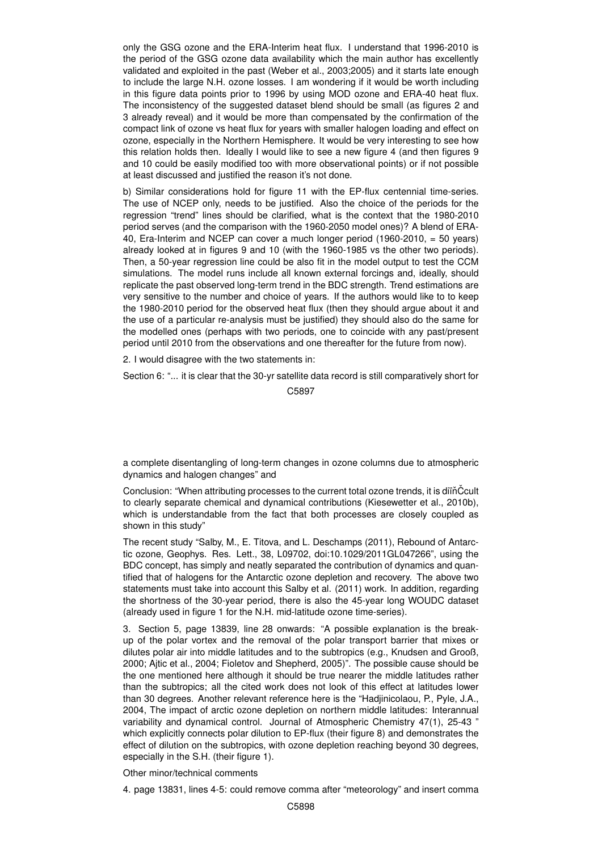only the GSG ozone and the ERA-Interim heat flux. I understand that 1996-2010 is the period of the GSG ozone data availability which the main author has excellently validated and exploited in the past (Weber et al., 2003;2005) and it starts late enough to include the large N.H. ozone losses. I am wondering if it would be worth including in this figure data points prior to 1996 by using MOD ozone and ERA-40 heat flux. The inconsistency of the suggested dataset blend should be small (as figures 2 and 3 already reveal) and it would be more than compensated by the confirmation of the compact link of ozone vs heat flux for years with smaller halogen loading and effect on ozone, especially in the Northern Hemisphere. It would be very interesting to see how this relation holds then. Ideally I would like to see a new figure 4 (and then figures 9 and 10 could be easily modified too with more observational points) or if not possible at least discussed and justified the reason it's not done.

b) Similar considerations hold for figure 11 with the EP-flux centennial time-series. The use of NCEP only, needs to be justified. Also the choice of the periods for the regression "trend" lines should be clarified, what is the context that the 1980-2010 period serves (and the comparison with the 1960-2050 model ones)? A blend of ERA-40, Era-Interim and NCEP can cover a much longer period (1960-2010, = 50 years) already looked at in figures 9 and 10 (with the 1960-1985 vs the other two periods). Then, a 50-year regression line could be also fit in the model output to test the CCM simulations. The model runs include all known external forcings and, ideally, should replicate the past observed long-term trend in the BDC strength. Trend estimations are very sensitive to the number and choice of years. If the authors would like to to keep the 1980-2010 period for the observed heat flux (then they should argue about it and the use of a particular re-analysis must be justified) they should also do the same for the modelled ones (perhaps with two periods, one to coincide with any past/present period until 2010 from the observations and one thereafter for the future from now).

2. I would disagree with the two statements in:

Section 6: "... it is clear that the 30-yr satellite data record is still comparatively short for C5897

a complete disentangling of long-term changes in ozone columns due to atmospheric dynamics and halogen changes" and

Conclusion: "When attributing processes to the current total ozone trends, it is diïňČcult to clearly separate chemical and dynamical contributions (Kiesewetter et al., 2010b), which is understandable from the fact that both processes are closely coupled as shown in this study"

The recent study "Salby, M., E. Titova, and L. Deschamps (2011), Rebound of Antarctic ozone, Geophys. Res. Lett., 38, L09702, doi:10.1029/2011GL047266", using the BDC concept, has simply and neatly separated the contribution of dynamics and quantified that of halogens for the Antarctic ozone depletion and recovery. The above two statements must take into account this Salby et al. (2011) work. In addition, regarding the shortness of the 30-year period, there is also the 45-year long WOUDC dataset (already used in figure 1 for the N.H. mid-latitude ozone time-series).

3. Section 5, page 13839, line 28 onwards: "A possible explanation is the breakup of the polar vortex and the removal of the polar transport barrier that mixes or dilutes polar air into middle latitudes and to the subtropics (e.g., Knudsen and Grooß, 2000; Ajtic et al., 2004; Fioletov and Shepherd, 2005)". The possible cause should be the one mentioned here although it should be true nearer the middle latitudes rather than the subtropics; all the cited work does not look of this effect at latitudes lower than 30 degrees. Another relevant reference here is the "Hadjinicolaou, P., Pyle, J.A., 2004, The impact of arctic ozone depletion on northern middle latitudes: Interannual variability and dynamical control. Journal of Atmospheric Chemistry 47(1), 25-43 " which explicitly connects polar dilution to EP-flux (their figure 8) and demonstrates the effect of dilution on the subtropics, with ozone depletion reaching beyond 30 degrees, especially in the S.H. (their figure 1).

Other minor/technical comments

4. page 13831, lines 4-5: could remove comma after "meteorology" and insert comma